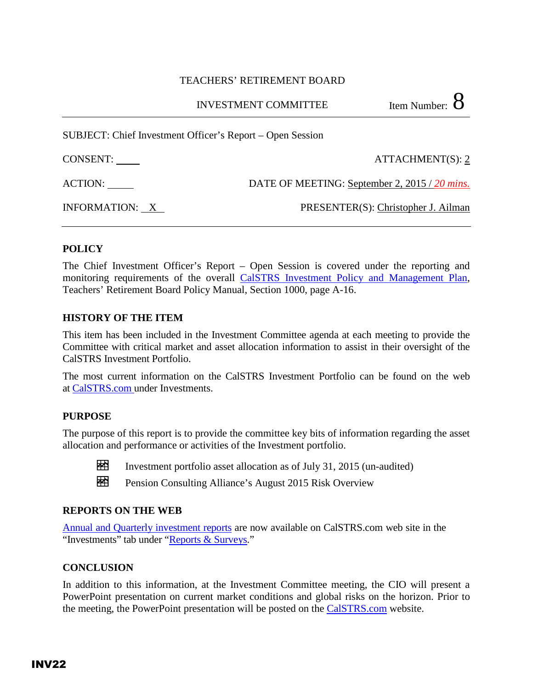#### TEACHERS' RETIREMENT BOARD

INVESTMENT COMMITTEE  $\sim$  Item Number: 8

SUBJECT: Chief Investment Officer's Report – Open Session

CONSENT: ATTACHMENT(S): 2

ACTION: DATE OF MEETING: September 2, 2015 / 20 mins.

INFORMATION: X PRESENTER(S): Christopher J. Ailman

## **POLICY**

The Chief Investment Officer's Report – Open Session is covered under the reporting and monitoring requirements of the overall [CalSTRS Investment Policy and Management Plan,](http://www.calstrs.com/sites/main/files/file-attachments/a_-_investment_policy_and_management_plan.pdf) Teachers' Retirement Board Policy Manual, Section 1000, page A-16.

### **HISTORY OF THE ITEM**

This item has been included in the Investment Committee agenda at each meeting to provide the Committee with critical market and asset allocation information to assist in their oversight of the CalSTRS Investment Portfolio.

The most current information on the CalSTRS Investment Portfolio can be found on the web at [CalSTRS.com u](http://www.calstrs.com/)nder [Investments.](http://www.calstrs.com/Investments/Invport.asp)

### **PURPOSE**

The purpose of this report is to provide the committee key bits of information regarding the asset allocation and performance or activities of the Investment portfolio.



Investment portfolio asset allocation as of July 31, 2015 (un-audited)

Pension Consulting Alliance's August 2015 Risk Overview

### **REPORTS ON THE WEB**

[Annual and Quarterly investment reports](http://www.calstrs.com/annual-reports) are now available on CalSTRS.com web site in the "Investments" tab under ["Reports & Surveys.](http://www.calstrs.com/reports-surveys)"

### **CONCLUSION**

In addition to this information, at the Investment Committee meeting, the CIO will present a PowerPoint presentation on current market conditions and global risks on the horizon. Prior to the meeting, the PowerPoint presentation will be posted on the [CalSTRS.com](https://resources.calstrs.com/publicdocs/Page/CalSTRSComWrapper.aspx?PageName=PublicBoardAgenda) website.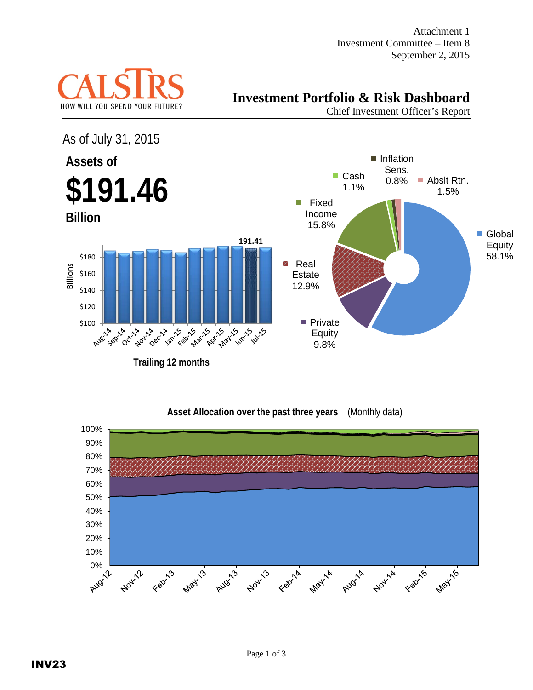Attachment 1 Investment Committee – Item 8 September 2, 2015



# **Investment Portfolio & Risk Dashboard**

Chief Investment Officer's Report





### **Asset Allocation over the past three years** (Monthly data)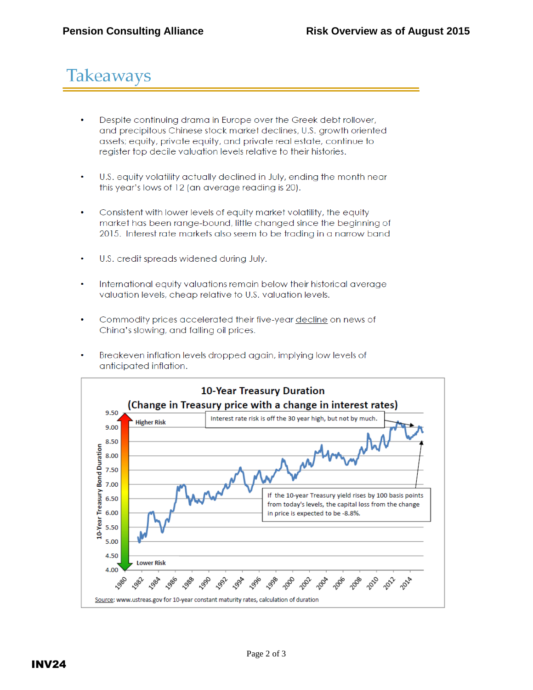# Takeaways

- Despite continuing drama in Europe over the Greek debt rollover, and precipitous Chinese stock market declines, U.S. growth oriented assets; equity, private equity, and private real estate, continue to register top decile valuation levels relative to their histories.
- U.S. equity volatility actually declined in July, ending the month near  $\bullet$ this year's lows of 12 (an average reading is 20).
- Consistent with lower levels of equity market volatility, the equity market has been range-bound, little changed since the beginning of 2015. Interest rate markets also seem to be trading in a narrow band
- U.S. credit spreads widened during July.  $\bullet$
- International equity valuations remain below their historical average valuation levels, cheap relative to U.S. valuation levels.
- $\bullet$ Commodity prices accelerated their five-year decline on news of China's slowing, and falling oil prices.
- Breakeven inflation levels dropped again, implying low levels of anticipated inflation.

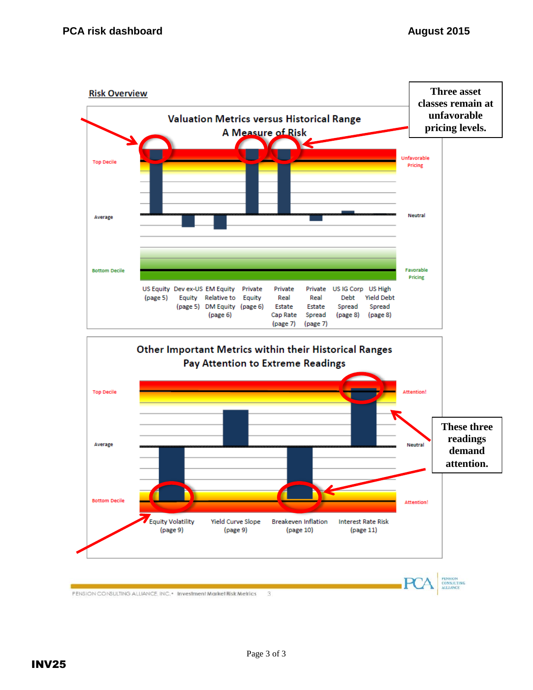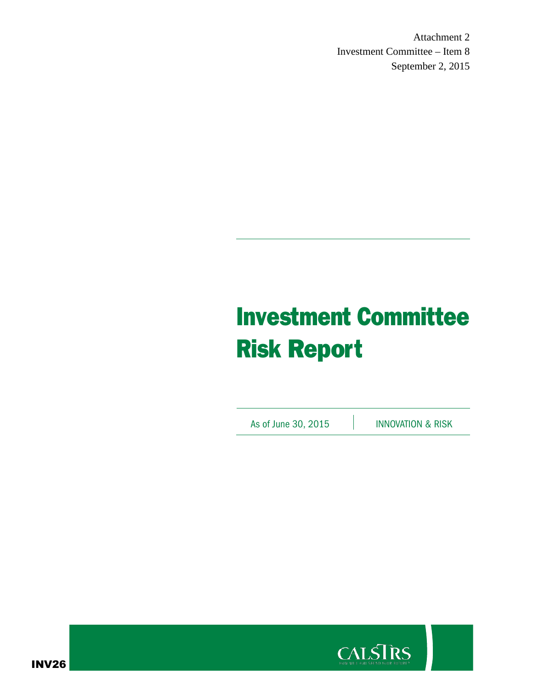Attachment 2 Investment Committee – Item 8 September 2, 2015

# Investment Committee Risk Report

As of June 30, 2015 **INNOVATION & RISK** 



INV26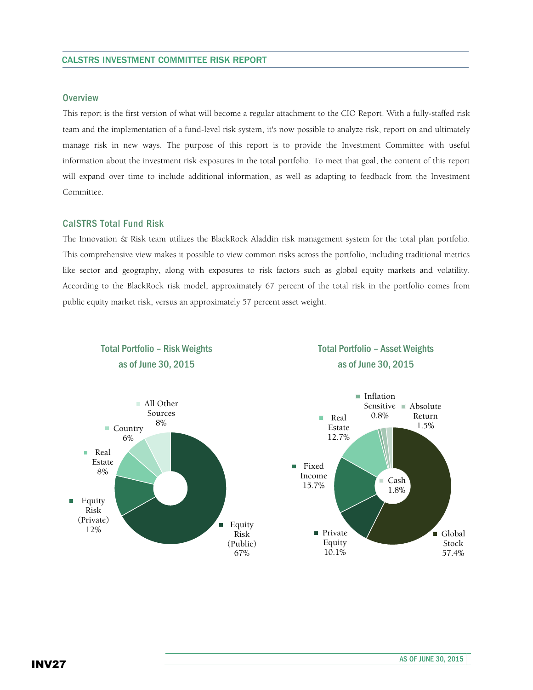#### **Overview**

This report is the first version of what will become a regular attachment to the CIO Report. With a fully-staffed risk team and the implementation of a fund-level risk system, it's now possible to analyze risk, report on and ultimately manage risk in new ways. The purpose of this report is to provide the Investment Committee with useful information about the investment risk exposures in the total portfolio. To meet that goal, the content of this report will expand over time to include additional information, as well as adapting to feedback from the Investment Committee.

#### CalSTRS Total Fund Risk

The Innovation & Risk team utilizes the BlackRock Aladdin risk management system for the total plan portfolio. This comprehensive view makes it possible to view common risks across the portfolio, including traditional metrics like sector and geography, along with exposures to risk factors such as global equity markets and volatility. According to the BlackRock risk model, approximately 67 percent of the total risk in the portfolio comes from public equity market risk, versus an approximately 57 percent asset weight.



## Total Portfolio – Asset Weights as of June 30, 2015



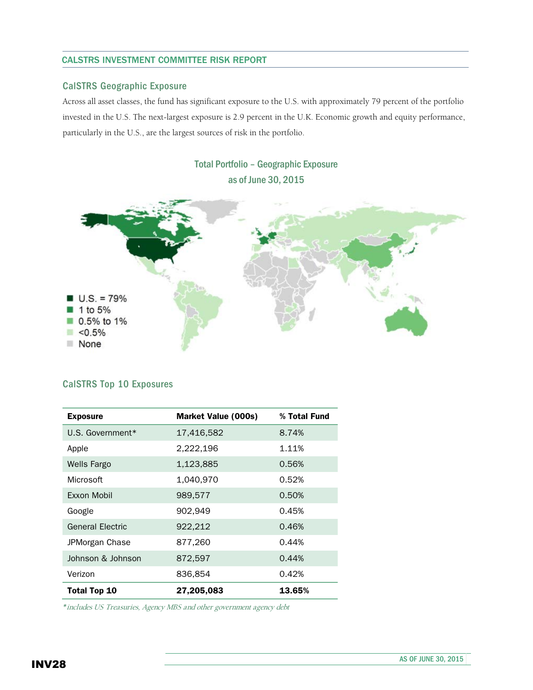#### CALSTRS INVESTMENT COMMITTEE RISK REPORT

#### CalSTRS Geographic Exposure

Across all asset classes, the fund has significant exposure to the U.S. with approximately 79 percent of the portfolio invested in the U.S. The next-largest exposure is 2.9 percent in the U.K. Economic growth and equity performance, particularly in the U.S., are the largest sources of risk in the portfolio.



#### CalSTRS Top 10 Exposures

| <b>Exposure</b>         | <b>Market Value (000s)</b> | % Total Fund |  |
|-------------------------|----------------------------|--------------|--|
| U.S. Government*        | 17,416,582                 | 8.74%        |  |
| Apple                   | 2,222,196                  | 1.11%        |  |
| <b>Wells Fargo</b>      | 1,123,885                  | 0.56%        |  |
| Microsoft               | 1,040,970                  | 0.52%        |  |
| <b>Exxon Mobil</b>      | 989,577                    | 0.50%        |  |
| Google                  | 902,949                    | 0.45%        |  |
| <b>General Electric</b> | 922,212                    | 0.46%        |  |
| JPMorgan Chase          | 877,260                    | 0.44%        |  |
| Johnson & Johnson       | 872,597                    | 0.44%        |  |
| Verizon                 | 836.854                    | 0.42%        |  |
| <b>Total Top 10</b>     | 27,205,083                 | 13.65%       |  |

*\**includes US Treasuries, Agency MBS and other government agency debt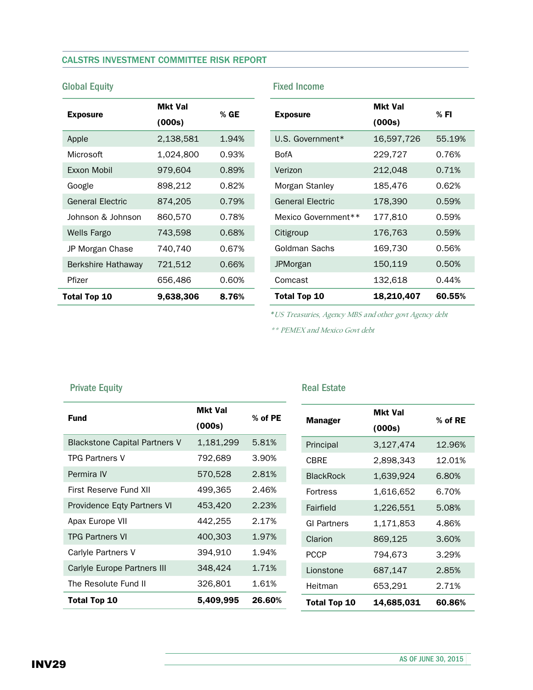#### CALSTRS INVESTMENT COMMITTEE RISK REPORT

| <b>Exposure</b>         | Mkt Val<br>(000s) | % GE  |  |
|-------------------------|-------------------|-------|--|
| Apple                   | 2,138,581         | 1.94% |  |
| Microsoft               | 1,024,800         | 0.93% |  |
| <b>Fxxon Mobil</b>      | 979,604           | 0.89% |  |
| Google                  | 898,212           | 0.82% |  |
| <b>General Flectric</b> | 874,205           | 0.79% |  |
| Johnson & Johnson       | 860,570           | 0.78% |  |
| <b>Wells Fargo</b>      | 743,598           | 0.68% |  |
| JP Morgan Chase         | 740,740           | 0.67% |  |
| Berkshire Hathaway      | 721,512           | 0.66% |  |
| Pfizer                  | 656,486           | 0.60% |  |
| Total Top 10            | 9,638,306         | 8.76% |  |

## Global Equity **Fixed Income**

| <b>Exposure</b>         | <b>Mkt Val</b><br>(000s) | % FI   |  |
|-------------------------|--------------------------|--------|--|
| U.S. Government*        | 16,597,726               | 55.19% |  |
| <b>BofA</b>             | 229,727                  | 0.76%  |  |
| Verizon                 | 212,048                  | 0.71%  |  |
| Morgan Stanley          | 185,476                  | 0.62%  |  |
| <b>General Electric</b> | 178,390                  | 0.59%  |  |
| Mexico Government**     | 177,810                  | 0.59%  |  |
| Citigroup               | 176,763                  | 0.59%  |  |
| Goldman Sachs           | 169,730                  | 0.56%  |  |
| JPMorgan                | 150,119                  | 0.50%  |  |
| Comcast                 | 132,618                  | 0.44%  |  |
| Total Top 10            | 18,210,407               | 60.55% |  |

*\**US Treasuries, Agency MBS and other govt Agency debt

\*\* PEMEX and Mexico Govt debt

#### Private Equity **Real Estate** Real Estate

L.

| <b>Fund</b>                          | <b>Mkt Val</b><br>(000s) | % of PE | <b>Manager</b>      | <b>Mkt Val</b><br>(000s) | $%$ of RE |
|--------------------------------------|--------------------------|---------|---------------------|--------------------------|-----------|
| <b>Blackstone Capital Partners V</b> | 1,181,299                | 5.81%   | Principal           | 3,127,474                | 12.96%    |
| <b>TPG Partners V</b>                | 792,689                  | 3.90%   | <b>CBRE</b>         | 2,898,343                | 12.01%    |
| Permira IV                           | 570,528                  | 2.81%   | <b>BlackRock</b>    | 1,639,924                | 6.80%     |
| First Reserve Fund XII               | 499,365                  | 2.46%   | Fortress            | 1,616,652                | 6.70%     |
| Providence Eqty Partners VI          | 453,420                  | 2.23%   | Fairfield           | 1,226,551                | 5.08%     |
| Apax Europe VII                      | 442,255                  | 2.17%   | <b>GI Partners</b>  | 1,171,853                | 4.86%     |
| <b>TPG Partners VI</b>               | 400,303                  | 1.97%   | Clarion             | 869,125                  | 3.60%     |
| Carlyle Partners V                   | 394,910                  | 1.94%   | <b>PCCP</b>         | 794,673                  | 3.29%     |
| Carlyle Europe Partners III          | 348,424                  | 1.71%   | Lionstone           | 687,147                  | 2.85%     |
| The Resolute Fund II                 | 326,801                  | 1.61%   | Heitman             | 653,291                  | 2.71%     |
| Total Top 10                         | 5,409,995                | 26.60%  | <b>Total Top 10</b> | 14,685,031               | 60.86%    |